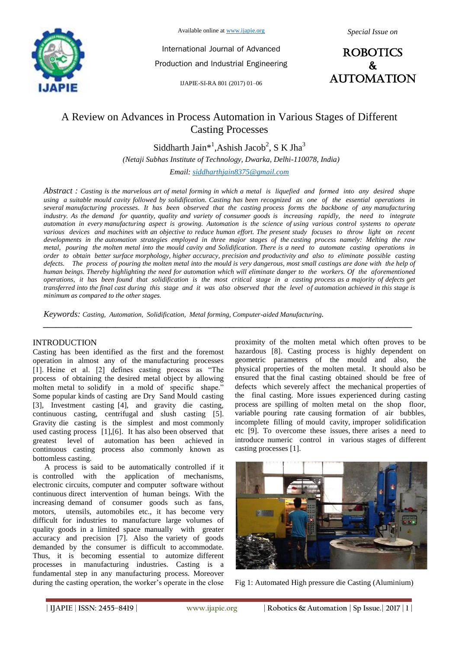

Available online at www.ijapie.org

International Journal of Advanced Production and Industrial Engineering

IJAPIE-SI-RA 801 (2017) 01–06



# A Review on Advances in Process Automation in Various Stages of Different Casting Processes

Siddharth Jain<sup>\*1</sup>, Ashish Jacob<sup>2</sup>, S K Jha<sup>3</sup> *(Netaji Subhas Institute of Technology, Dwarka, Delhi-110078, India)*

*Email: siddharthjain8375@gmail.com* 

*Abstract : Casting is the marvelous art of metal forming in which a metal is liquefied and formed into any desired shape using a suitable mould cavity followed by solidification. Casting has been recognized as one of the essential operations in several manufacturing processes. It has been observed that the casting process forms the backbone of any manufacturing industry. As the demand for quantity, quality and variety of consumer goods is increasing rapidly, the need to integrate automation in every manufacturing aspect is growing. Automation is the science of using various control systems to operate various devices and machines with an objective to reduce human effort. The present study focuses to throw light on recent developments in the automation strategies employed in three major stages of the casting process namely: Melting the raw metal, pouring the molten metal into the mould cavity and Solidification. There is a need to automate casting operations in order to obtain better surface morphology, higher accuracy, precision and productivity and also to eliminate possible casting defects. The process of pouring the molten metal into the mould is very dangerous, most small castings are done with the help of human beings. Thereby highlighting the need for automation which will eliminate danger to the workers. Of the aforementioned operations, it has been found that solidification is the most critical stage in a casting process as a majority of defects get transferred into the final cast during this stage and it was also observed that the level of automation achieved in this stage is minimum as compared to the other stages.*

*\_\_\_\_\_\_\_\_\_\_\_\_\_\_\_\_\_\_\_\_\_\_\_\_\_\_\_\_\_\_\_\_\_\_\_\_\_\_\_\_\_\_\_\_\_\_\_\_\_\_\_\_\_\_\_\_\_\_\_\_\_\_\_\_\_\_\_\_\_\_\_\_\_\_\_\_\_\_\_\_\_\_\_\_\_\_\_*

*Keywords: Casting, Automation, Solidification, Metal forming, Computer-aided Manufacturing.* 

#### INTRODUCTION

Casting has been identified as the first and the foremost operation in almost any of the manufacturing processes [1]. Heine et al. [2] defines casting process as "The process of obtaining the desired metal object by allowing molten metal to solidify in a mold of specific shape." Some popular kinds of casting are Dry Sand Mould casting [3], Investment casting [4], and gravity die casting, continuous casting, centrifugal and slush casting [5]. Gravity die casting is the simplest and most commonly used casting process [1],[6]. It has also been observed that greatest level of automation has been achieved in continuous casting process also commonly known as bottomless casting.

 A process is said to be automatically controlled if it is controlled with the application of mechanisms, electronic circuits, computer and computer software without continuous direct intervention of human beings. With the increasing demand of consumer goods such as fans, motors, utensils, automobiles etc., it has become very difficult for industries to manufacture large volumes of quality goods in a limited space manually with greater accuracy and precision [7]. Also the variety of goods demanded by the consumer is difficult to accommodate. Thus, it is becoming essential to automize different processes in manufacturing industries. Casting is a fundamental step in any manufacturing process. Moreover during the casting operation, the worker's operate in the close proximity of the molten metal which often proves to be hazardous [8]. Casting process is highly dependent on geometric parameters of the mould and also, the physical properties of the molten metal. It should also be ensured that the final casting obtained should be free of defects which severely affect the mechanical properties of the final casting. More issues experienced during casting process are spilling of molten metal on the shop floor, variable pouring rate causing formation of air bubbles, incomplete filling of mould cavity, improper solidification etc [9]. To overcome these issues, there arises a need to introduce numeric control in various stages of different casting processes [1].



Fig 1: Automated High pressure die Casting (Aluminium)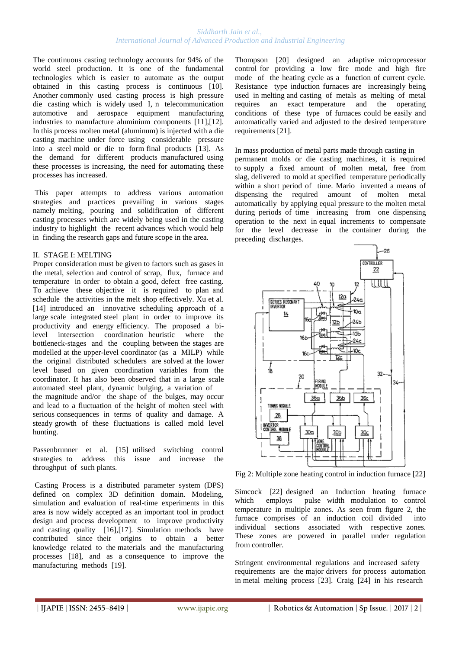The continuous casting technology accounts for 94% of the world steel production. It is one of the fundamental technologies which is easier to automate as the output obtained in this casting process is continuous [10]. Another commonly used casting process is high pressure die casting which is widely used I, n telecommunication automotive and aerospace equipment manufacturing industries to manufacture aluminium components [11],[12]. In this process molten metal (aluminum) is injected with a die casting machine under force using considerable pressure into a steel mold or die to form final products [13]. As the demand for different products manufactured using these processes is increasing, the need for automating these processes has increased.

This paper attempts to address various automation strategies and practices prevailing in various stages namely melting, pouring and solidification of different casting processes which are widely being used in the casting industry to highlight the recent advances which would help in finding the research gaps and future scope in the area.

#### II. STAGE I: MELTING

Proper consideration must be given to factors such as gases in the metal, selection and control of scrap, flux, furnace and temperature in order to obtain a good, defect free casting. To achieve these objective it is required to plan and schedule the activities in the melt shop effectively. Xu et al. [14] introduced an innovative scheduling approach of a large scale integrated steel plant in order to improve its productivity and energy efficiency. The proposed a bilevel intersection coordination heuristic where the bottleneck-stages and the coupling between the stages are modelled at the upper-level coordinator (as a MILP) while the original distributed schedulers are solved at the lower level based on given coordination variables from the coordinator. It has also been observed that in a large scale automated steel plant, dynamic bulging, a variation of the magnitude and/or the shape of the bulges, may occur and lead to a fluctuation of the height of molten steel with serious consequences in terms of quality and damage. A steady growth of these fluctuations is called mold level hunting.

Passenbrunner et al. [15] utilised switching control strategies to address this issue and increase the throughput of such plants.

Casting Process is a distributed parameter system (DPS) defined on complex 3D definition domain. Modeling, simulation and evaluation of real-time experiments in this area is now widely accepted as an important tool in product design and process development to improve productivity and casting quality [16],[17]. Simulation methods have contributed since their origins to obtain a better knowledge related to the materials and the manufacturing processes [18], and as a consequence to improve the manufacturing methods [19].

Thompson [20] designed an adaptive microprocessor control for providing a low fire mode and high fire mode of the heating cycle as a function of current cycle. Resistance type induction furnaces are increasingly being used in melting and casting of metals as melting of metal requires an exact temperature and the operating conditions of these type of furnaces could be easily and automatically varied and adjusted to the desired temperature requirements [21].

In mass production of metal parts made through casting in permanent molds or die casting machines, it is required to supply a fixed amount of molten metal, free from slag, delivered to mold at specified temperature periodically within a short period of time. Mario invented a means of dispensing the required amount of molten metal automatically by applying equal pressure to the molten metal during periods of time increasing from one dispensing operation to the next in equal increments to compensate for the level decrease in the container during the preceding discharges.



Fig 2: Multiple zone heating control in induction furnace [22]

Simcock [22] designed an Induction heating furnace which employs pulse width modulation to control temperature in multiple zones. As seen from figure 2, the furnace comprises of an induction coil divided into individual sections associated with respective zones. These zones are powered in parallel under regulation from controller.

Stringent environmental regulations and increased safety requirements are the major drivers for process automation in metal melting process [23]. Craig [24] in his research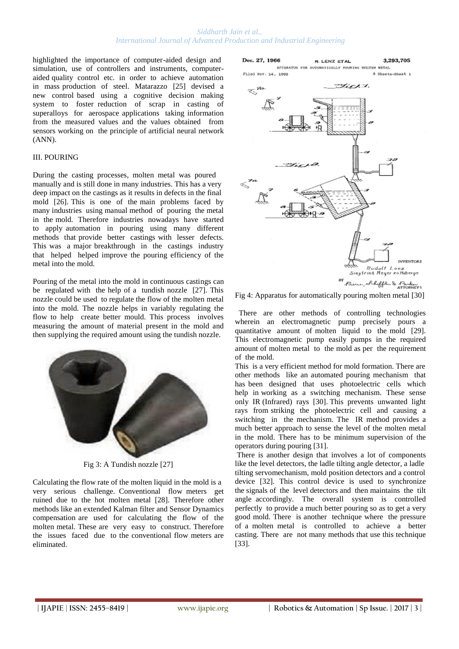highlighted the importance of computer-aided design and simulation, use of controllers and instruments, computeraided quality control etc. in order to achieve automation in mass production of steel. Matarazzo [25] devised a new control based using a cognitive decision making system to foster reduction of scrap in casting of superalloys for aerospace applications taking information from the measured values and the values obtained from sensors working on the principle of artificial neural network (ANN).

## III. POURING

During the casting processes, molten metal was poured manually and is still done in many industries. This has a very deep impact on the castings as it results in defects in the final mold [26]. This is one of the main problems faced by many industries using manual method of pouring the metal in the mold. Therefore industries nowadays have started to apply automation in pouring using many different methods that provide better castings with lesser defects. This was a major breakthrough in the castings industry that helped helped improve the pouring efficiency of the metal into the mold.

Pouring of the metal into the mold in continuous castings can be regulated with the help of a tundish nozzle [27]. This nozzle could be used to regulate the flow of the molten metal into the mold. The nozzle helps in variably regulating the flow to help create better mould. This process involves measuring the amount of material present in the mold and then supplying the required amount using the tundish nozzle.



Fig 3: A Tundish nozzle [27]

Calculating the flow rate of the molten liquid in the mold is a very serious challenge. Conventional flow meters get ruined due to the hot molten metal [28]. Therefore other methods like an extended Kalman filter and Sensor Dynamics compensation are used for calculating the flow of the molten metal. These are very easy to construct. Therefore the issues faced due to the conventional flow meters are eliminated.



Fig 4: Apparatus for automatically pouring molten metal [30]

 There are other methods of controlling technologies wherein an electromagnetic pump precisely pours a quantitative amount of molten liquid to the mold [29]. This electromagnetic pump easily pumps in the required amount of molten metal to the mold as per the requirement of the mold.

This is a very efficient method for mold formation. There are other methods like an automated pouring mechanism that has been designed that uses photoelectric cells which help in working as a switching mechanism. These sense only IR (Infrared) rays [30]. This prevents unwanted light rays from striking the photoelectric cell and causing a switching in the mechanism. The IR method provides a much better approach to sense the level of the molten metal in the mold. There has to be minimum supervision of the operators during pouring [31].

There is another design that involves a lot of components like the level detectors, the ladle tilting angle detector, a ladle tilting servomechanism, mold position detectors and a control device [32]. This control device is used to synchronize the signals of the level detectors and then maintains the tilt angle accordingly. The overall system is controlled perfectly to provide a much better pouring so as to get a very good mold. There is another technique where the pressure of a molten metal is controlled to achieve a better casting. There are not many methods that use this technique [33].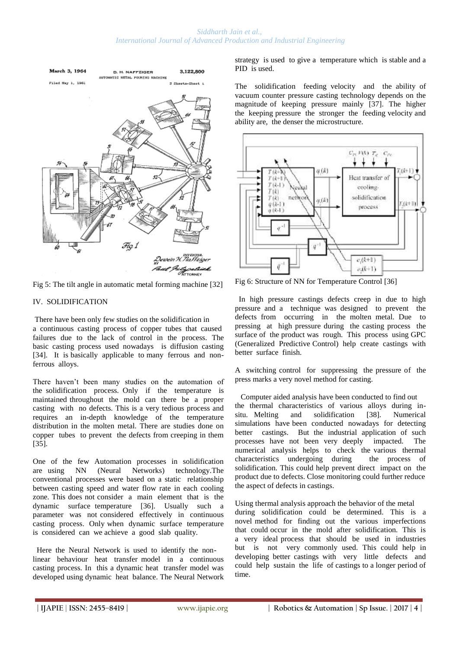

Fig 5: The tilt angle in automatic metal forming machine [32]

# IV. SOLIDIFICATION

There have been only few studies on the solidification in a continuous casting process of copper tubes that caused failures due to the lack of control in the process. The basic casting process used nowadays is diffusion casting [34]. It is basically applicable to many ferrous and nonferrous alloys.

There haven't been many studies on the automation of the solidification process. Only if the temperature is maintained throughout the mold can there be a proper casting with no defects. This is a very tedious process and requires an in-depth knowledge of the temperature distribution in the molten metal. There are studies done on copper tubes to prevent the defects from creeping in them [35].

One of the few Automation processes in solidification are using NN (Neural Networks) technology.The conventional processes were based on a static relationship between casting speed and water flow rate in each cooling zone. This does not consider a main element that is the dynamic surface temperature [36]. Usually such a parameter was not considered effectively in continuous casting process. Only when dynamic surface temperature is considered can we achieve a good slab quality.

 Here the Neural Network is used to identify the nonlinear behaviour heat transfer model in a continuous casting process. In this a dynamic heat transfer model was developed using dynamic heat balance. The Neural Network

strategy is used to give a temperature which is stable and a PID is used.

The solidification feeding velocity and the ability of vacuum counter pressure casting technology depends on the magnitude of keeping pressure mainly [37]. The higher the keeping pressure the stronger the feeding velocity and ability are, the denser the microstructure.



Fig 6: Structure of NN for Temperature Control [36]

 In high pressure castings defects creep in due to high pressure and a technique was designed to prevent the defects from occurring in the molten metal. Due to pressing at high pressure during the casting process the surface of the product was rough. This process using GPC (Generalized Predictive Control) help create castings with better surface finish.

A switching control for suppressing the pressure of the press marks a very novel method for casting.

 Computer aided analysis have been conducted to find out the thermal characteristics of various alloys during insitu. Melting and solidification [38]. Numerical simulations have been conducted nowadays for detecting better castings. But the industrial application of such processes have not been very deeply impacted. The numerical analysis helps to check the various thermal characteristics undergoing during the process of solidification. This could help prevent direct impact on the product due to defects. Close monitoring could further reduce the aspect of defects in castings.

Using thermal analysis approach the behavior of the metal during solidification could be determined. This is a novel method for finding out the various imperfections that could occur in the mold after solidification. This is a very ideal process that should be used in industries but is not very commonly used. This could help in developing better castings with very little defects and could help sustain the life of castings to a longer period of time.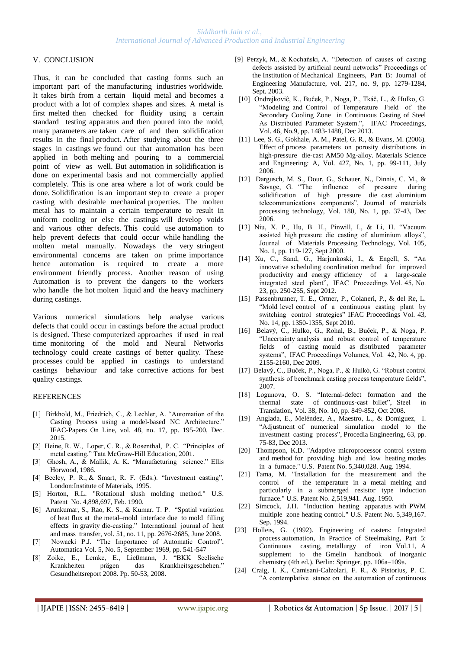#### V. CONCLUSION

Thus, it can be concluded that casting forms such an important part of the manufacturing industries worldwide. It takes birth from a certain liquid metal and becomes a product with a lot of complex shapes and sizes. A metal is first melted then checked for fluidity using a certain standard testing apparatus and then poured into the mold, many parameters are taken care of and then solidification results in the final product. After studying about the three stages in castings we found out that automation has been applied in both melting and pouring to a commercial point of view as well. But automation in solidification is done on experimental basis and not commercially applied completely. This is one area where a lot of work could be done. Solidification is an important step to create a proper casting with desirable mechanical properties. The molten metal has to maintain a certain temperature to result in uniform cooling or else the castings will develop voids and various other defects. This could use automation to help prevent defects that could occur while handling the molten metal manually. Nowadays the very stringent environmental concerns are taken on prime importance hence automation is required to create a more environment friendly process. Another reason of using Automation is to prevent the dangers to the workers who handle the hot molten liquid and the heavy machinery during castings.

Various numerical simulations help analyse various defects that could occur in castings before the actual product is designed. These computerized approaches if used in real time monitoring of the mold and Neural Networks technology could create castings of better quality. These processes could be applied in castings to understand castings behaviour and take corrective actions for best quality castings.

#### **REFERENCES**

- [1] Birkhold, M., Friedrich, C., & Lechler, A. "Automation of the Casting Process using a model-based NC Architecture." IFAC-Papers On Line, vol. 48, no. 17, pp. 195-200, Dec. 2015.
- [2] Heine, R. W., Loper, C. R., & Rosenthal, P. C. "Principles of metal casting." Tata McGraw-Hill Education, 2001.
- [3] Ghosh, A., & Mallik, A. K. "Manufacturing science." Ellis Horwood, 1986.
- [4] Beeley, P. R., & Smart, R. F. (Eds.). "Investment casting", London:Institute of Materials, 1995.
- [5] Horton, R.L. "Rotational slush molding method." U.S. Patent No. 4,898,697, Feb. 1990.
- [6] Arunkumar, S., Rao, K. S., & Kumar, T. P. "Spatial variation of heat flux at the metal–mold interface due to mold filling effects in gravity die-casting." International journal of heat and mass transfer, vol. 51, no. 11, pp. 2676-2685, June 2008.
- [7] Nowacki P.J. "The Importance of Automatic Control", Automatica Vol. 5, No. 5, September 1969, pp. 541-547
- [8] Zoike, E., Lemke, E., Ließmann, J. "BKK Seelische Krankheiten prägen das Krankheitsgeschehen." Gesundheitsreport 2008. Pp. 50-53, 2008.
- [9] Perzyk, M., & Kochański, A. "Detection of causes of casting defects assisted by artificial neural networks" Proceedings of the Institution of Mechanical Engineers, Part B: Journal of Engineering Manufacture, vol. 217, no. 9, pp. 1279-1284, Sept. 2003.
- [10] Ondrejkoviĉ, K., Buĉek, P., Noga, P., Tkáĉ, L., & Hulko, G. "Modeling and Control of Temperature Field of the Secondary Cooling Zone in Continuous Casting of Steel As Distributed Parameter System.", IFAC Proceedings, Vol. 46, No.9, pp. 1483-1488, Dec 2013.
- [11] Lee, S. G., Gokhale, A. M., Patel, G. R., & Evans, M. (2006). Effect of process parameters on porosity distributions in high-pressure die-cast AM50 Mg-alloy. Materials Science and Engineering: A, Vol. 427, No. 1, pp. 99-111, July 2006.
- [12] Dargusch, M. S., Dour, G., Schauer, N., Dinnis, C. M., & Savage, G. "The influence of pressure during solidification of high pressure die cast aluminium telecommunications components", Journal of materials processing technology, Vol. 180, No. 1, pp. 37-43, Dec 2006.
- [13] Niu, X. P., Hu, B. H., Pinwill, I., & Li, H. "Vacuum assisted high pressure die casting of aluminium alloys", Journal of Materials Processing Technology, Vol. 105, No. 1, pp. 119-127, Sept 2000.
- [14] Xu, C., Sand, G., Harjunkoski, I., & Engell, S. "An innovative scheduling coordination method for improved productivity and energy efficiency of a large-scale integrated steel plant", IFAC Proceedings Vol. 45, No. 23, pp. 250-255, Sept 2012.
- [15] Passenbrunner, T. E., Ortner, P., Colaneri, P., & del Re, L. "Mold level control of a continuous casting plant by switching control strategies" IFAC Proceedings Vol. 43, No. 14, pp. 1350-1355, Sept 2010.
- [16] Belavý, C., Hulko, G., Rohal, B., Buček, P., & Noga, P. "Uncertainty analysis and robust control of temperature fields of casting mould as distributed parameter systems", IFAC Proceedings Volumes, Vol. 42, No. 4, pp. 2155-2160, Dec 2009.
- [17] Belavý, C., Buček, P., Noga, P., & Hulkó, G. "Robust control synthesis of benchmark casting process temperature fields", 2007.
- [18] Logunova, O. S. "Internal-defect formation and the thermal state of continuous-cast billet", Steel in Translation, Vol. 38, No. 10, pp. 849-852, Oct 2008.
- [19] Anglada, E., Meléndez, A., Maestro, L., & Domiguez, I. "Adjustment of numerical simulation model to the investment casting process", Procedia Engineering, 63, pp. 75-83, Dec 2013.
- [20] Thompson, K.D. "Adaptive microprocessor control system and method for providing high and low heating modes in a furnace." U.S. Patent No. 5,340,028. Aug. 1994.
- [21] Tama, M. "Installation for the measurement and the control of the temperature in a metal melting and particularly in a submerged resistor type induction furnace." U.S. Patent No. 2,519,941. Aug. 1950.
- [22] Simcock, J.H. "Induction heating apparatus with PWM multiple zone heating control." U.S. Patent No. 5,349,167. Sep. 1994.
- [23] Holleis, G. (1992). Engineering of casters: Integrated process automation, In Practice of Steelmaking, Part 5: Continuous casting, metallurgy of iron Vol.11, A supplement to the Gmelin handbook of inorganic chemistry (4th ed.). Berlin: Springer, pp. 106a–109a.
- [24] Craig, I. K., Camisani-Calzolari, F. R., & Pistorius, P. C. "A contemplative stance on the automation of continuous